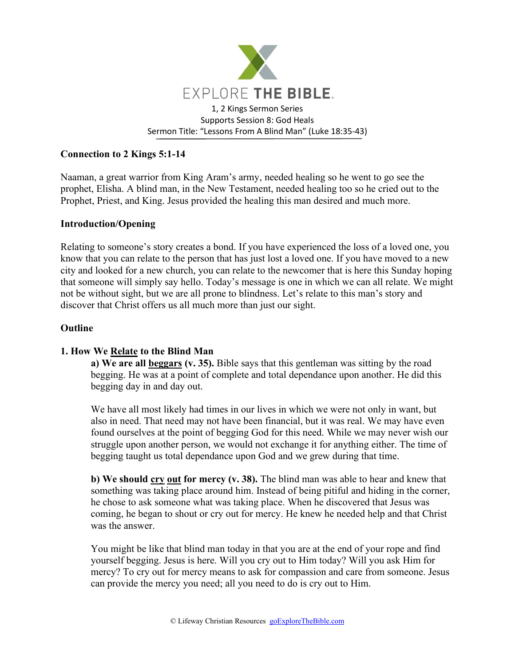

### **Connection to 2 Kings 5:1-14**

Naaman, a great warrior from King Aram's army, needed healing so he went to go see the prophet, Elisha. A blind man, in the New Testament, needed healing too so he cried out to the Prophet, Priest, and King. Jesus provided the healing this man desired and much more.

### **Introduction/Opening**

Relating to someone's story creates a bond. If you have experienced the loss of a loved one, you know that you can relate to the person that has just lost a loved one. If you have moved to a new city and looked for a new church, you can relate to the newcomer that is here this Sunday hoping that someone will simply say hello. Today's message is one in which we can all relate. We might not be without sight, but we are all prone to blindness. Let's relate to this man's story and discover that Christ offers us all much more than just our sight.

#### **Outline**

### **1. How We Relate to the Blind Man**

**a) We are all beggars (v. 35).** Bible says that this gentleman was sitting by the road begging. He was at a point of complete and total dependance upon another. He did this begging day in and day out.

We have all most likely had times in our lives in which we were not only in want, but also in need. That need may not have been financial, but it was real. We may have even found ourselves at the point of begging God for this need. While we may never wish our struggle upon another person, we would not exchange it for anything either. The time of begging taught us total dependance upon God and we grew during that time.

**b) We should cry out for mercy (v. 38).** The blind man was able to hear and knew that something was taking place around him. Instead of being pitiful and hiding in the corner, he chose to ask someone what was taking place. When he discovered that Jesus was coming, he began to shout or cry out for mercy. He knew he needed help and that Christ was the answer.

You might be like that blind man today in that you are at the end of your rope and find yourself begging. Jesus is here. Will you cry out to Him today? Will you ask Him for mercy? To cry out for mercy means to ask for compassion and care from someone. Jesus can provide the mercy you need; all you need to do is cry out to Him.